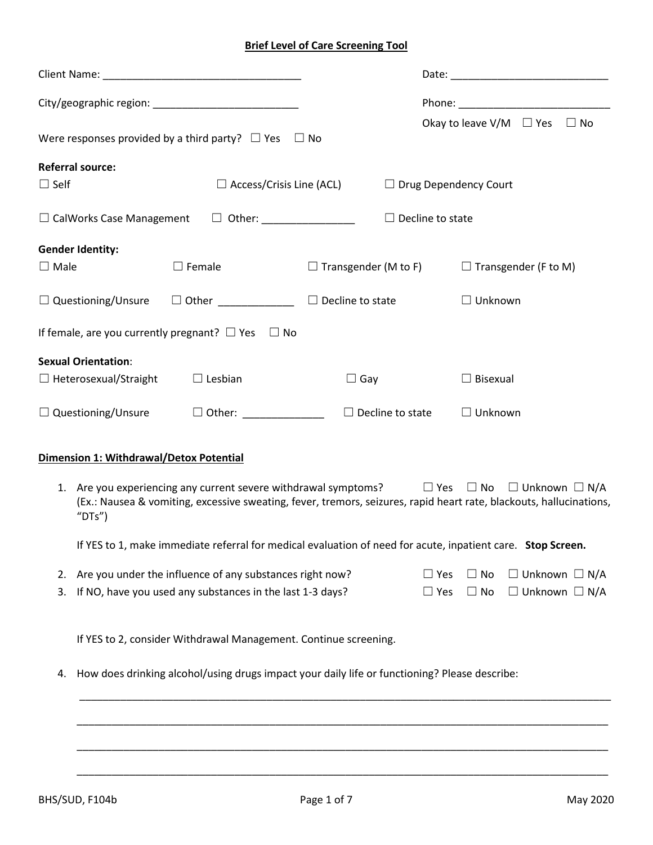# **Brief Level of Care Screening Tool**

| Were responses provided by a third party? $\Box$ Yes $\Box$ No                                                                                                                                                                                      |                                 |                                                         |            |                              | Okay to leave V/M $\Box$ Yes $\Box$ No |  |
|-----------------------------------------------------------------------------------------------------------------------------------------------------------------------------------------------------------------------------------------------------|---------------------------------|---------------------------------------------------------|------------|------------------------------|----------------------------------------|--|
| <b>Referral source:</b>                                                                                                                                                                                                                             |                                 |                                                         |            |                              |                                        |  |
| $\Box$ Self                                                                                                                                                                                                                                         | $\Box$ Access/Crisis Line (ACL) |                                                         |            | $\Box$ Drug Dependency Court |                                        |  |
| $\square$ CalWorks Case Management $\square$ Other: ________________                                                                                                                                                                                |                                 | $\Box$ Decline to state                                 |            |                              |                                        |  |
| <b>Gender Identity:</b>                                                                                                                                                                                                                             |                                 |                                                         |            |                              |                                        |  |
| $\square$ Female<br>$\Box$ Male                                                                                                                                                                                                                     |                                 | $\Box$ Transgender (M to F) $\Box$ Transgender (F to M) |            |                              |                                        |  |
| $\Box$ Questioning/Unsure $\Box$ Other _____________ $\Box$ Decline to state                                                                                                                                                                        |                                 |                                                         |            | $\Box$ Unknown               |                                        |  |
| If female, are you currently pregnant? $\Box$ Yes $\Box$ No                                                                                                                                                                                         |                                 |                                                         |            |                              |                                        |  |
| <b>Sexual Orientation:</b>                                                                                                                                                                                                                          |                                 |                                                         |            |                              |                                        |  |
| $\Box$ Heterosexual/Straight                                                                                                                                                                                                                        | $\Box$ Lesbian                  | $\Box$ Gay                                              |            | $\Box$ Bisexual              |                                        |  |
| $\Box$ Questioning/Unsure                                                                                                                                                                                                                           |                                 | $\Box$ Decline to state                                 |            | $\Box$ Unknown               |                                        |  |
| Dimension 1: Withdrawal/Detox Potential                                                                                                                                                                                                             |                                 |                                                         |            |                              |                                        |  |
| 1. Are you experiencing any current severe withdrawal symptoms? $\Box$ Yes $\Box$ No $\Box$ Unknown $\Box$ N/A<br>(Ex.: Nausea & vomiting, excessive sweating, fever, tremors, seizures, rapid heart rate, blackouts, hallucinations,<br>" $DTs$ ") |                                 |                                                         |            |                              |                                        |  |
| If YES to 1, make immediate referral for medical evaluation of need for acute, inpatient care. Stop Screen.                                                                                                                                         |                                 |                                                         |            |                              |                                        |  |
| Are you under the influence of any substances right now?<br>2.                                                                                                                                                                                      |                                 |                                                         | $\Box$ Yes | $\Box$ No                    | $\Box$ Unknown $\Box$ N/A              |  |
| If NO, have you used any substances in the last 1-3 days?<br>3.                                                                                                                                                                                     |                                 |                                                         | $\Box$ Yes | $\Box$ No                    | $\Box$ Unknown $\Box$ N/A              |  |
| If YES to 2, consider Withdrawal Management. Continue screening.                                                                                                                                                                                    |                                 |                                                         |            |                              |                                        |  |
| How does drinking alcohol/using drugs impact your daily life or functioning? Please describe:<br>4.                                                                                                                                                 |                                 |                                                         |            |                              |                                        |  |
|                                                                                                                                                                                                                                                     |                                 |                                                         |            |                              |                                        |  |
|                                                                                                                                                                                                                                                     |                                 |                                                         |            |                              |                                        |  |
|                                                                                                                                                                                                                                                     |                                 |                                                         |            |                              |                                        |  |

\_\_\_\_\_\_\_\_\_\_\_\_\_\_\_\_\_\_\_\_\_\_\_\_\_\_\_\_\_\_\_\_\_\_\_\_\_\_\_\_\_\_\_\_\_\_\_\_\_\_\_\_\_\_\_\_\_\_\_\_\_\_\_\_\_\_\_\_\_\_\_\_\_\_\_\_\_\_\_\_\_\_\_\_\_\_\_\_\_\_\_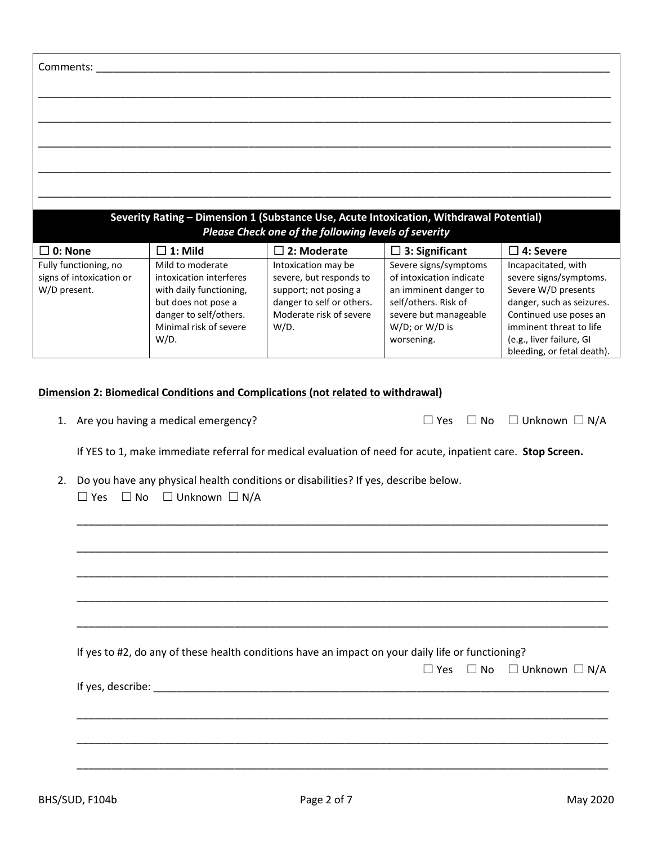| Comments:                |                                     |                                                                                                             |                          |                                     |
|--------------------------|-------------------------------------|-------------------------------------------------------------------------------------------------------------|--------------------------|-------------------------------------|
|                          |                                     |                                                                                                             |                          |                                     |
|                          |                                     |                                                                                                             |                          |                                     |
|                          |                                     |                                                                                                             |                          |                                     |
|                          |                                     |                                                                                                             |                          |                                     |
|                          |                                     |                                                                                                             |                          |                                     |
|                          |                                     |                                                                                                             |                          |                                     |
|                          |                                     |                                                                                                             |                          |                                     |
|                          |                                     |                                                                                                             |                          |                                     |
|                          |                                     | Severity Rating - Dimension 1 (Substance Use, Acute Intoxication, Withdrawal Potential)                     |                          |                                     |
|                          |                                     | Please Check one of the following levels of severity                                                        |                          |                                     |
| $\square$ 0: None        | $\Box$ 1: Mild                      | $\square$ 2: Moderate                                                                                       | $\Box$ 3: Significant    | $\square$ 4: Severe                 |
| Fully functioning, no    | Mild to moderate                    | Intoxication may be                                                                                         | Severe signs/symptoms    | Incapacitated, with                 |
| signs of intoxication or | intoxication interferes             | severe, but responds to                                                                                     | of intoxication indicate | severe signs/symptoms.              |
| W/D present.             | with daily functioning,             | support; not posing a                                                                                       | an imminent danger to    | Severe W/D presents                 |
|                          | but does not pose a                 | danger to self or others.                                                                                   | self/others. Risk of     | danger, such as seizures.           |
|                          | danger to self/others.              | Moderate risk of severe                                                                                     | severe but manageable    | Continued use poses an              |
|                          | Minimal risk of severe              | $W/D$ .                                                                                                     | W/D; or W/D is           | imminent threat to life             |
|                          | $W/D$ .                             |                                                                                                             | worsening.               | (e.g., liver failure, GI            |
|                          |                                     |                                                                                                             |                          | bleeding, or fetal death).          |
|                          |                                     |                                                                                                             |                          |                                     |
|                          |                                     | Dimension 2: Biomedical Conditions and Complications (not related to withdrawal)                            |                          |                                     |
|                          |                                     |                                                                                                             |                          |                                     |
| 1.                       | Are you having a medical emergency? |                                                                                                             | $\Box$ Yes               | $\Box$ No $\Box$ Unknown $\Box$ N/A |
|                          |                                     | If YES to 1, make immediate referral for medical evaluation of need for acute, inpatient care. Stop Screen. |                          |                                     |
| 2.                       |                                     | Do you have any physical health conditions or disabilities? If yes, describe below.                         |                          |                                     |
| $\Box$ Yes<br>$\Box$ No  | $\square$ Unknown $\square$ N/A     |                                                                                                             |                          |                                     |
|                          |                                     |                                                                                                             |                          |                                     |
|                          |                                     |                                                                                                             |                          |                                     |

| If yes to #2, do any of these health conditions have an impact on your daily life or functioning?                                                                                                                                    |  |                                                |
|--------------------------------------------------------------------------------------------------------------------------------------------------------------------------------------------------------------------------------------|--|------------------------------------------------|
|                                                                                                                                                                                                                                      |  | $\Box$ Yes $\Box$ No $\Box$ Unknown $\Box$ N/A |
| If yes, describe: <u>the contract of the set of the set of the set of the set of the set of the set of the set of the set of the set of the set of the set of the set of the set of the set of the set of the set of the set of </u> |  |                                                |
|                                                                                                                                                                                                                                      |  |                                                |
|                                                                                                                                                                                                                                      |  |                                                |
|                                                                                                                                                                                                                                      |  |                                                |

\_\_\_\_\_\_\_\_\_\_\_\_\_\_\_\_\_\_\_\_\_\_\_\_\_\_\_\_\_\_\_\_\_\_\_\_\_\_\_\_\_\_\_\_\_\_\_\_\_\_\_\_\_\_\_\_\_\_\_\_\_\_\_\_\_\_\_\_\_\_\_\_\_\_\_\_\_\_\_\_\_\_\_\_\_\_\_\_\_\_\_

\_\_\_\_\_\_\_\_\_\_\_\_\_\_\_\_\_\_\_\_\_\_\_\_\_\_\_\_\_\_\_\_\_\_\_\_\_\_\_\_\_\_\_\_\_\_\_\_\_\_\_\_\_\_\_\_\_\_\_\_\_\_\_\_\_\_\_\_\_\_\_\_\_\_\_\_\_\_\_\_\_\_\_\_\_\_\_\_\_\_\_

\_\_\_\_\_\_\_\_\_\_\_\_\_\_\_\_\_\_\_\_\_\_\_\_\_\_\_\_\_\_\_\_\_\_\_\_\_\_\_\_\_\_\_\_\_\_\_\_\_\_\_\_\_\_\_\_\_\_\_\_\_\_\_\_\_\_\_\_\_\_\_\_\_\_\_\_\_\_\_\_\_\_\_\_\_\_\_\_\_\_\_

\_\_\_\_\_\_\_\_\_\_\_\_\_\_\_\_\_\_\_\_\_\_\_\_\_\_\_\_\_\_\_\_\_\_\_\_\_\_\_\_\_\_\_\_\_\_\_\_\_\_\_\_\_\_\_\_\_\_\_\_\_\_\_\_\_\_\_\_\_\_\_\_\_\_\_\_\_\_\_\_\_\_\_\_\_\_\_\_\_\_\_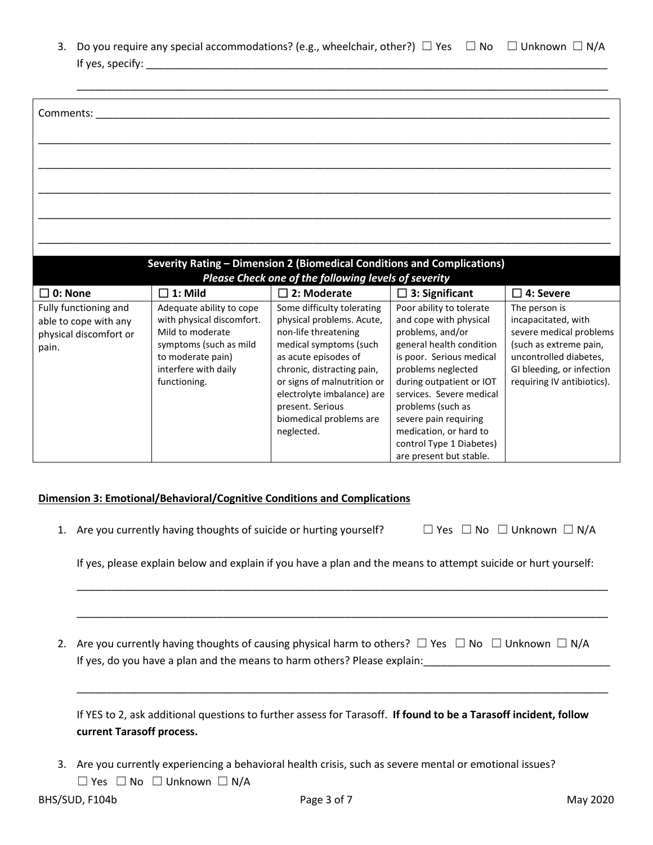3. Do you require any special accommodations? (e.g., wheelchair, other?)  $\Box$  Yes  $\Box$  No  $\Box$  Unknown  $\Box$  N/A If yes, specify: **We are all that if yeses**  $\frac{1}{2}$ 

| Comments:                                       |                                               |                                                                         |                                                     |                                                         |
|-------------------------------------------------|-----------------------------------------------|-------------------------------------------------------------------------|-----------------------------------------------------|---------------------------------------------------------|
|                                                 |                                               |                                                                         |                                                     |                                                         |
|                                                 |                                               |                                                                         |                                                     |                                                         |
|                                                 |                                               |                                                                         |                                                     |                                                         |
|                                                 |                                               |                                                                         |                                                     |                                                         |
|                                                 |                                               |                                                                         |                                                     |                                                         |
|                                                 |                                               |                                                                         |                                                     |                                                         |
|                                                 |                                               |                                                                         |                                                     |                                                         |
|                                                 |                                               | Severity Rating - Dimension 2 (Biomedical Conditions and Complications) |                                                     |                                                         |
|                                                 |                                               | Please Check one of the following levels of severity                    |                                                     |                                                         |
| $\square$ 0: None                               | $\Box$ 1: Mild                                | $\square$ 2: Moderate                                                   | $\Box$ 3: Significant                               | $\square$ 4: Severe                                     |
| Fully functioning and                           | Adequate ability to cope                      | Some difficulty tolerating                                              | Poor ability to tolerate                            | The person is                                           |
| able to cope with any<br>physical discomfort or | with physical discomfort.<br>Mild to moderate | physical problems. Acute,<br>non-life threatening                       | and cope with physical<br>problems, and/or          | incapacitated, with<br>severe medical problems          |
| pain.                                           | symptoms (such as mild                        | medical symptoms (such                                                  | general health condition                            | (such as extreme pain,                                  |
|                                                 | to moderate pain)                             | as acute episodes of                                                    | is poor. Serious medical                            | uncontrolled diabetes,                                  |
|                                                 | interfere with daily<br>functioning.          | chronic, distracting pain,<br>or signs of malnutrition or               | problems neglected<br>during outpatient or IOT      | GI bleeding, or infection<br>requiring IV antibiotics). |
|                                                 |                                               | electrolyte imbalance) are                                              | services. Severe medical                            |                                                         |
|                                                 |                                               | present. Serious                                                        | problems (such as                                   |                                                         |
|                                                 |                                               | biomedical problems are                                                 | severe pain requiring                               |                                                         |
|                                                 |                                               | neglected.                                                              | medication, or hard to                              |                                                         |
|                                                 |                                               |                                                                         | control Type 1 Diabetes)<br>are present but stable. |                                                         |

### **Dimension 3: Emotional/Behavioral/Cognitive Conditions and Complications**

1. Are you currently having thoughts of suicide or hurting yourself?  $□$  Yes  $□$  No  $□$  Unknown  $□$  N/A

If yes, please explain below and explain if you have a plan and the means to attempt suicide or hurt yourself:

\_\_\_\_\_\_\_\_\_\_\_\_\_\_\_\_\_\_\_\_\_\_\_\_\_\_\_\_\_\_\_\_\_\_\_\_\_\_\_\_\_\_\_\_\_\_\_\_\_\_\_\_\_\_\_\_\_\_\_\_\_\_\_\_\_\_\_\_\_\_\_\_\_\_\_\_\_\_\_\_\_\_\_\_\_\_\_\_\_\_\_

\_\_\_\_\_\_\_\_\_\_\_\_\_\_\_\_\_\_\_\_\_\_\_\_\_\_\_\_\_\_\_\_\_\_\_\_\_\_\_\_\_\_\_\_\_\_\_\_\_\_\_\_\_\_\_\_\_\_\_\_\_\_\_\_\_\_\_\_\_\_\_\_\_\_\_\_\_\_\_\_\_\_\_\_\_\_\_\_\_\_\_

\_\_\_\_\_\_\_\_\_\_\_\_\_\_\_\_\_\_\_\_\_\_\_\_\_\_\_\_\_\_\_\_\_\_\_\_\_\_\_\_\_\_\_\_\_\_\_\_\_\_\_\_\_\_\_\_\_\_\_\_\_\_\_\_\_\_\_\_\_\_\_\_\_\_\_\_\_\_\_\_\_\_\_\_\_\_\_\_\_\_\_

2. Are you currently having thoughts of causing physical harm to others?  $\Box$  Yes  $\Box$  No  $\Box$  Unknown  $\Box$  N/A If yes, do you have a plan and the means to harm others? Please explain:

If YES to 2, ask additional questions to further assess for Tarasoff. **If found to be a Tarasoff incident, follow current Tarasoff process.**

3. Are you currently experiencing a behavioral health crisis, such as severe mental or emotional issues? ☐ Yes ☐ No ☐ Unknown ☐ N/A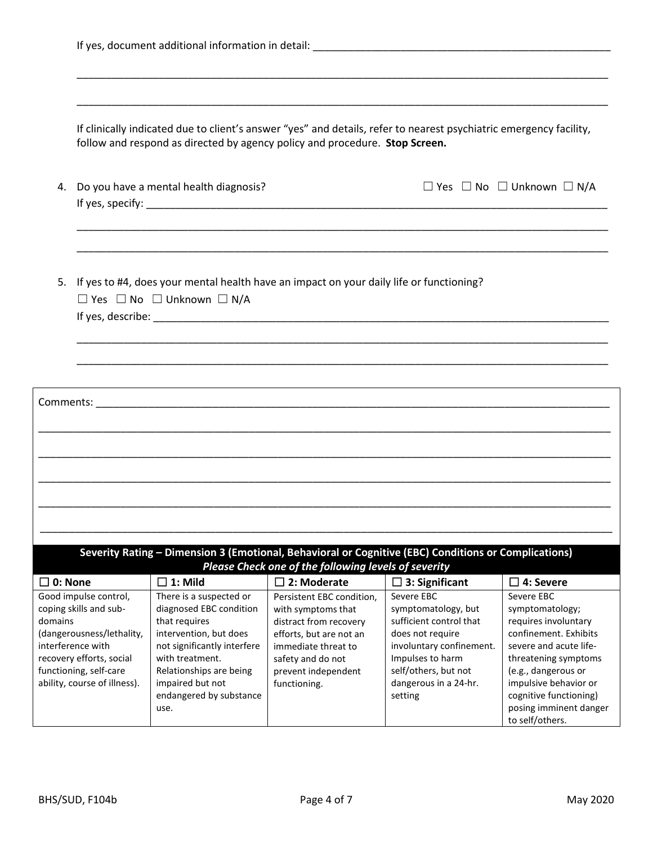|                   |                                                                                                                                                                                         | If clinically indicated due to client's answer "yes" and details, refer to nearest psychiatric emergency facility,<br>follow and respond as directed by agency policy and procedure. Stop Screen.                                 |                                                                                                                                                                                         |                                                                                                                                                                                              |                                                                                                                                                                                                                                                         |
|-------------------|-----------------------------------------------------------------------------------------------------------------------------------------------------------------------------------------|-----------------------------------------------------------------------------------------------------------------------------------------------------------------------------------------------------------------------------------|-----------------------------------------------------------------------------------------------------------------------------------------------------------------------------------------|----------------------------------------------------------------------------------------------------------------------------------------------------------------------------------------------|---------------------------------------------------------------------------------------------------------------------------------------------------------------------------------------------------------------------------------------------------------|
| 4.                |                                                                                                                                                                                         | Do you have a mental health diagnosis?                                                                                                                                                                                            |                                                                                                                                                                                         |                                                                                                                                                                                              | $\Box$ Yes $\Box$ No $\Box$ Unknown $\Box$ N/A                                                                                                                                                                                                          |
|                   |                                                                                                                                                                                         | 5. If yes to #4, does your mental health have an impact on your daily life or functioning?                                                                                                                                        |                                                                                                                                                                                         |                                                                                                                                                                                              |                                                                                                                                                                                                                                                         |
|                   |                                                                                                                                                                                         | $\Box$ Yes $\Box$ No $\Box$ Unknown $\Box$ N/A                                                                                                                                                                                    |                                                                                                                                                                                         |                                                                                                                                                                                              |                                                                                                                                                                                                                                                         |
|                   |                                                                                                                                                                                         |                                                                                                                                                                                                                                   |                                                                                                                                                                                         |                                                                                                                                                                                              |                                                                                                                                                                                                                                                         |
|                   |                                                                                                                                                                                         |                                                                                                                                                                                                                                   |                                                                                                                                                                                         |                                                                                                                                                                                              |                                                                                                                                                                                                                                                         |
|                   |                                                                                                                                                                                         |                                                                                                                                                                                                                                   |                                                                                                                                                                                         |                                                                                                                                                                                              |                                                                                                                                                                                                                                                         |
|                   |                                                                                                                                                                                         |                                                                                                                                                                                                                                   |                                                                                                                                                                                         |                                                                                                                                                                                              |                                                                                                                                                                                                                                                         |
|                   |                                                                                                                                                                                         |                                                                                                                                                                                                                                   |                                                                                                                                                                                         |                                                                                                                                                                                              |                                                                                                                                                                                                                                                         |
|                   |                                                                                                                                                                                         |                                                                                                                                                                                                                                   |                                                                                                                                                                                         |                                                                                                                                                                                              |                                                                                                                                                                                                                                                         |
|                   |                                                                                                                                                                                         |                                                                                                                                                                                                                                   |                                                                                                                                                                                         |                                                                                                                                                                                              |                                                                                                                                                                                                                                                         |
|                   |                                                                                                                                                                                         |                                                                                                                                                                                                                                   |                                                                                                                                                                                         |                                                                                                                                                                                              |                                                                                                                                                                                                                                                         |
|                   |                                                                                                                                                                                         |                                                                                                                                                                                                                                   |                                                                                                                                                                                         |                                                                                                                                                                                              |                                                                                                                                                                                                                                                         |
|                   |                                                                                                                                                                                         | Severity Rating - Dimension 3 (Emotional, Behavioral or Cognitive (EBC) Conditions or Complications)                                                                                                                              |                                                                                                                                                                                         |                                                                                                                                                                                              |                                                                                                                                                                                                                                                         |
|                   |                                                                                                                                                                                         |                                                                                                                                                                                                                                   | Please Check one of the following levels of severity                                                                                                                                    |                                                                                                                                                                                              |                                                                                                                                                                                                                                                         |
| $\square$ 0: None |                                                                                                                                                                                         | $\square$ 1: Mild                                                                                                                                                                                                                 | $\square$ 2: Moderate                                                                                                                                                                   | 3: Significant<br>$\mathbb{C}^1$                                                                                                                                                             | 4: Severe<br>П                                                                                                                                                                                                                                          |
| domains           | Good impulse control,<br>coping skills and sub-<br>(dangerousness/lethality,<br>interference with<br>recovery efforts, social<br>functioning, self-care<br>ability, course of illness). | There is a suspected or<br>diagnosed EBC condition<br>that requires<br>intervention, but does<br>not significantly interfere<br>with treatment.<br>Relationships are being<br>impaired but not<br>endangered by substance<br>use. | Persistent EBC condition,<br>with symptoms that<br>distract from recovery<br>efforts, but are not an<br>immediate threat to<br>safety and do not<br>prevent independent<br>functioning. | Severe EBC<br>symptomatology, but<br>sufficient control that<br>does not require<br>involuntary confinement.<br>Impulses to harm<br>self/others, but not<br>dangerous in a 24-hr.<br>setting | Severe EBC<br>symptomatology;<br>requires involuntary<br>confinement. Exhibits<br>severe and acute life-<br>threatening symptoms<br>(e.g., dangerous or<br>impulsive behavior or<br>cognitive functioning)<br>posing imminent danger<br>to self/others. |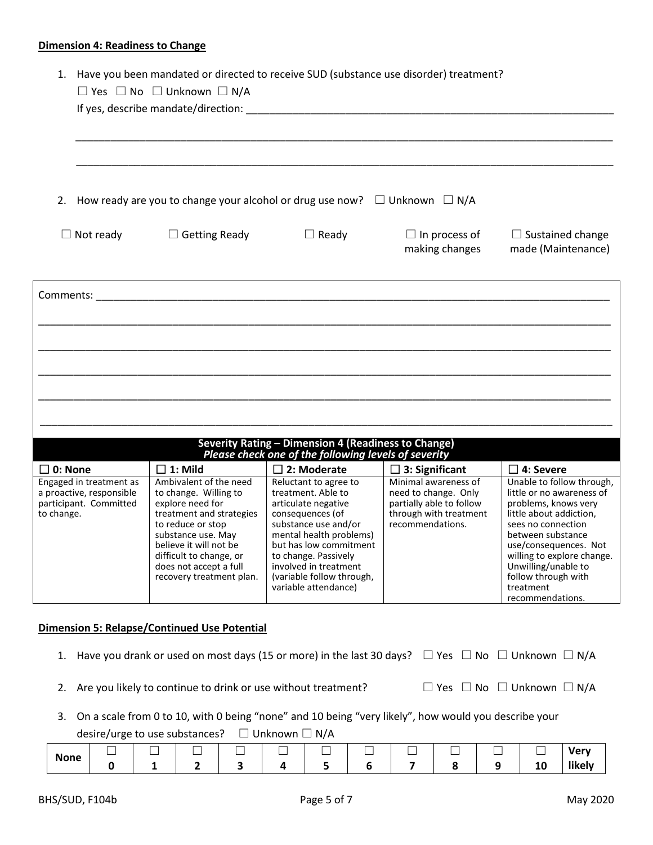#### **Dimension 4: Readiness to Change**

|  |  |  | 1. Have you been mandated or directed to receive SUD (substance use disorder) treatment? |
|--|--|--|------------------------------------------------------------------------------------------|
|--|--|--|------------------------------------------------------------------------------------------|

|                                                                                             | $\Box$ Yes $\Box$ No $\Box$ Unknown $\Box$ N/A                                                                                                                                                                                                        |                                                                                                                                                                                                                                                                           |                                                                                                                        |                                                                                                                                                                                                                                                                                            |
|---------------------------------------------------------------------------------------------|-------------------------------------------------------------------------------------------------------------------------------------------------------------------------------------------------------------------------------------------------------|---------------------------------------------------------------------------------------------------------------------------------------------------------------------------------------------------------------------------------------------------------------------------|------------------------------------------------------------------------------------------------------------------------|--------------------------------------------------------------------------------------------------------------------------------------------------------------------------------------------------------------------------------------------------------------------------------------------|
|                                                                                             | 2. How ready are you to change your alcohol or drug use now? $\square$ Unknown $\square$ N/A                                                                                                                                                          |                                                                                                                                                                                                                                                                           |                                                                                                                        |                                                                                                                                                                                                                                                                                            |
| $\Box$ Not ready                                                                            | $\Box$ Getting Ready                                                                                                                                                                                                                                  | $\Box$ Ready                                                                                                                                                                                                                                                              | $\Box$ In process of<br>making changes                                                                                 | $\Box$ Sustained change<br>made (Maintenance)                                                                                                                                                                                                                                              |
|                                                                                             | <b>Comments:</b> Comments: 2008 and 2008 and 2008 and 2008 and 2008 and 2008 and 2008 and 2008 and 2008 and 2008 and 2008 and 2008 and 2008 and 2008 and 2008 and 2008 and 2008 and 2008 and 2008 and 2008 and 2008 and 2008 and 20                   |                                                                                                                                                                                                                                                                           |                                                                                                                        |                                                                                                                                                                                                                                                                                            |
|                                                                                             |                                                                                                                                                                                                                                                       | Severity Rating - Dimension 4 (Readiness to Change)<br>Please check one of the following levels of severity                                                                                                                                                               |                                                                                                                        |                                                                                                                                                                                                                                                                                            |
| $\square$ 0: None                                                                           | $\Box$ 1: Mild                                                                                                                                                                                                                                        | $\square$ 2: Moderate                                                                                                                                                                                                                                                     | $\Box$ 3: Significant                                                                                                  | $\square$ 4: Severe                                                                                                                                                                                                                                                                        |
| Engaged in treatment as<br>a proactive, responsible<br>participant. Committed<br>to change. | Ambivalent of the need<br>to change. Willing to<br>explore need for<br>treatment and strategies<br>to reduce or stop<br>substance use. May<br>believe it will not be<br>difficult to change, or<br>does not accept a full<br>recovery treatment plan. | Reluctant to agree to<br>treatment. Able to<br>articulate negative<br>consequences (of<br>substance use and/or<br>mental health problems)<br>but has low commitment<br>to change. Passively<br>involved in treatment<br>(variable follow through,<br>variable attendance) | Minimal awareness of<br>need to change. Only<br>partially able to follow<br>through with treatment<br>recommendations. | Unable to follow through,<br>little or no awareness of<br>problems, knows very<br>little about addiction,<br>sees no connection<br>between substance<br>use/consequences. Not<br>willing to explore change.<br>Unwilling/unable to<br>follow through with<br>treatment<br>recommendations. |

### **Dimension 5: Relapse/Continued Use Potential**

- 1. Have you drank or used on most days (15 or more) in the last 30 days?  $\Box$  Yes  $\Box$  No  $\Box$  Unknown  $\Box$  N/A
- 2. Are you likely to continue to drink or use without treatment?  $□$  Yes  $□$  No  $□$  Unknown  $□$  N/A
- 
- 3. On a scale from 0 to 10, with 0 being "none" and 10 being "very likely", how would you describe your

desire/urge to use substances? □ Unknown □ N/A

| <b>None</b> | _<br>_ | __ |  |  | $-$ |  | _____<br>_ | $M_{\rm max}$<br>с                |
|-------------|--------|----|--|--|-----|--|------------|-----------------------------------|
|             |        |    |  |  |     |  | ᅩ          | $\cdots$<br>ikelv<br><b>TIVEI</b> |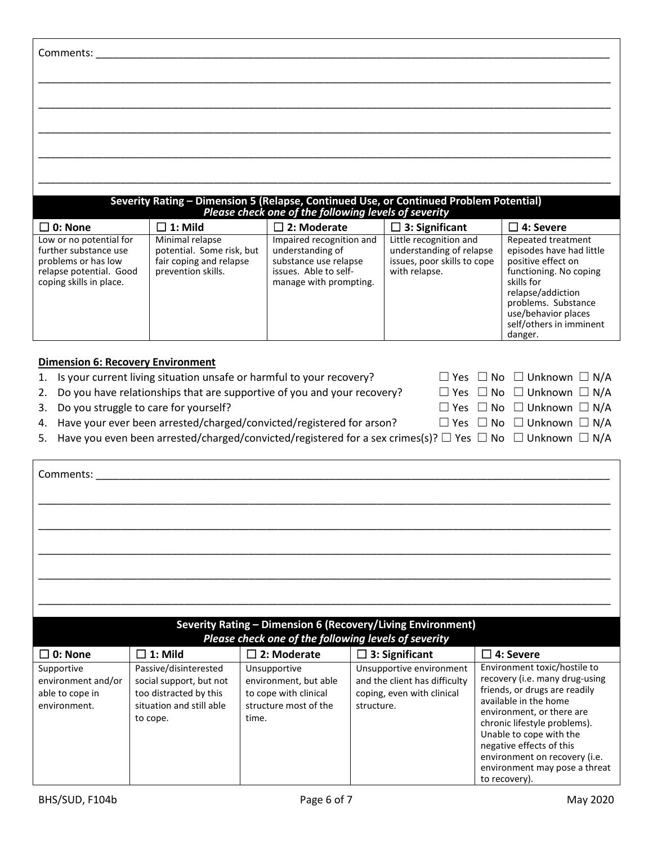| Comments:                                                                                                                     |                                                                                               |                                                                                                                          |                                                                                                    |                                                                                                                                                                                                                       |
|-------------------------------------------------------------------------------------------------------------------------------|-----------------------------------------------------------------------------------------------|--------------------------------------------------------------------------------------------------------------------------|----------------------------------------------------------------------------------------------------|-----------------------------------------------------------------------------------------------------------------------------------------------------------------------------------------------------------------------|
|                                                                                                                               |                                                                                               |                                                                                                                          |                                                                                                    |                                                                                                                                                                                                                       |
|                                                                                                                               |                                                                                               |                                                                                                                          |                                                                                                    |                                                                                                                                                                                                                       |
|                                                                                                                               |                                                                                               |                                                                                                                          |                                                                                                    |                                                                                                                                                                                                                       |
|                                                                                                                               |                                                                                               |                                                                                                                          |                                                                                                    |                                                                                                                                                                                                                       |
|                                                                                                                               |                                                                                               | Please check one of the following levels of severity                                                                     | Severity Rating - Dimension 5 (Relapse, Continued Use, or Continued Problem Potential)             |                                                                                                                                                                                                                       |
| $\square$ 0: None                                                                                                             | $\Box$ 1: Mild                                                                                | $\square$ 2: Moderate                                                                                                    | $\Box$ 3: Significant                                                                              | $\square$ 4: Severe                                                                                                                                                                                                   |
| Low or no potential for<br>further substance use<br>problems or has low<br>relapse potential. Good<br>coping skills in place. | Minimal relapse<br>potential. Some risk, but<br>fair coping and relapse<br>prevention skills. | Impaired recognition and<br>understanding of<br>substance use relapse<br>issues. Able to self-<br>manage with prompting. | Little recognition and<br>understanding of relapse<br>issues, poor skills to cope<br>with relapse. | Repeated treatment<br>episodes have had little<br>positive effect on<br>functioning. No coping<br>skills for<br>relapse/addiction<br>problems. Substance<br>use/behavior places<br>self/others in imminent<br>danger. |

# **Dimension 6: Recovery Environment**

| 1. Is your current living situation unsafe or harmful to your recovery?                                                         |  | $\Box$ Yes $\Box$ No $\Box$ Unknown $\Box$ N/A |  |
|---------------------------------------------------------------------------------------------------------------------------------|--|------------------------------------------------|--|
| 2. Do you have relationships that are supportive of you and your recovery?                                                      |  | $\Box$ Yes $\Box$ No $\Box$ Unknown $\Box$ N/A |  |
| 3. Do you struggle to care for yourself?                                                                                        |  | $\Box$ Yes $\Box$ No $\Box$ Unknown $\Box$ N/A |  |
| 4. Have your ever been arrested/charged/convicted/registered for arson?                                                         |  | $\Box$ Yes $\Box$ No $\Box$ Unknown $\Box$ N/A |  |
| 5. Have you even been arrested/charged/convicted/registered for a sex crimes(s)? $\Box$ Yes $\Box$ No $\Box$ Unknown $\Box$ N/A |  |                                                |  |

| Comments:                                                           |                                                                                                                    |                                                                                                  | Severity Rating - Dimension 6 (Recovery/Living Environment)                                           |                                                                                                                                                                                                                                                                                                                                 |
|---------------------------------------------------------------------|--------------------------------------------------------------------------------------------------------------------|--------------------------------------------------------------------------------------------------|-------------------------------------------------------------------------------------------------------|---------------------------------------------------------------------------------------------------------------------------------------------------------------------------------------------------------------------------------------------------------------------------------------------------------------------------------|
|                                                                     |                                                                                                                    | Please check one of the following levels of severity                                             |                                                                                                       |                                                                                                                                                                                                                                                                                                                                 |
| $\square$ 0: None                                                   | $\square$ 1: Mild                                                                                                  | $\square$ 2: Moderate                                                                            | $\Box$ 3: Significant                                                                                 | $\square$ 4: Severe                                                                                                                                                                                                                                                                                                             |
| Supportive<br>environment and/or<br>able to cope in<br>environment. | Passive/disinterested<br>social support, but not<br>too distracted by this<br>situation and still able<br>to cope. | Unsupportive<br>environment, but able<br>to cope with clinical<br>structure most of the<br>time. | Unsupportive environment<br>and the client has difficulty<br>coping, even with clinical<br>structure. | Environment toxic/hostile to<br>recovery (i.e. many drug-using<br>friends, or drugs are readily<br>available in the home<br>environment, or there are<br>chronic lifestyle problems).<br>Unable to cope with the<br>negative effects of this<br>environment on recovery (i.e.<br>environment may pose a threat<br>to recovery). |

 $\Gamma$